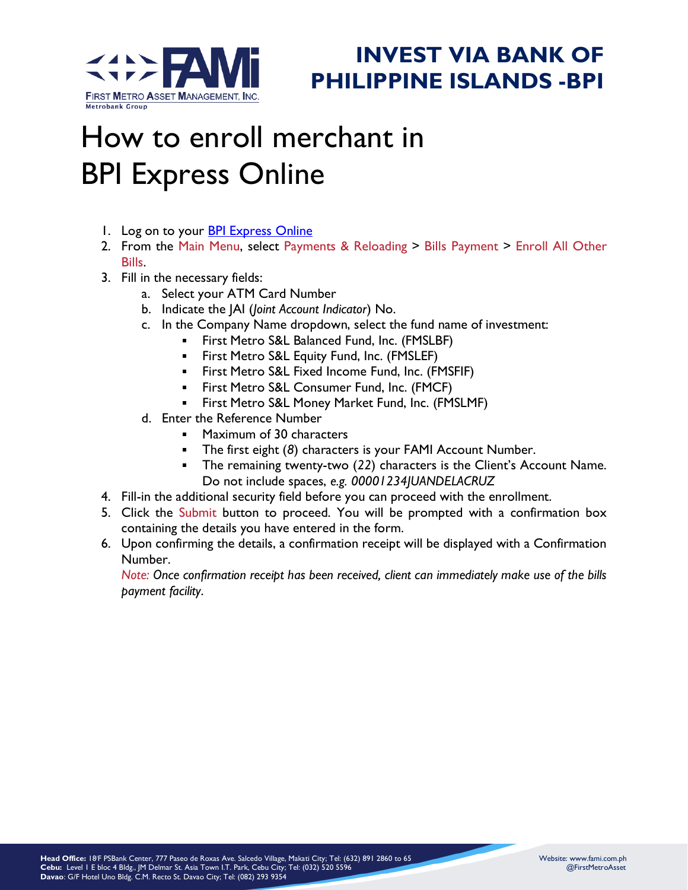

## **INVEST VIA BANK OF PHILIPPINE ISLANDS -BPI**

## How to enroll merchant in BPI Express Online

- 1. Log on to your [BPI Express Online](https://secure1.bpiexpressonline.com/AuthFiles/login.aspx?URL=/direct_signin.htm)
- 2. From the Main Menu, select Payments & Reloading > Bills Payment > Enroll All Other Bills.
- 3. Fill in the necessary fields:
	- a. Select your ATM Card Number
	- b. Indicate the JAI (*Joint Account Indicator*) No.
	- c. In the Company Name dropdown, select the fund name of investment:
		- First Metro S&L Balanced Fund, Inc. (FMSLBF)
		- First Metro S&L Equity Fund, Inc. (FMSLEF)
		- First Metro S&L Fixed Income Fund, Inc. (FMSFIF)
		- First Metro S&L Consumer Fund, Inc. (FMCF)  $\blacksquare$
		- **First Metro S&L Money Market Fund, Inc. (FMSLMF)**
	- d. Enter the Reference Number
		- **Maximum of 30 characters**
		- The first eight (*8*) characters is your FAMI Account Number.
		- The remaining twenty-two (*22*) characters is the Client's Account Name. Do not include spaces, *e.g. 00001234JUANDELACRUZ*
- 4. Fill-in the additional security field before you can proceed with the enrollment.
- 5. Click the Submit button to proceed. You will be prompted with a confirmation box containing the details you have entered in the form.
- 6. Upon confirming the details, a confirmation receipt will be displayed with a Confirmation Number.

*Note: Once confirmation receipt has been received, client can immediately make use of the bills payment facility*.